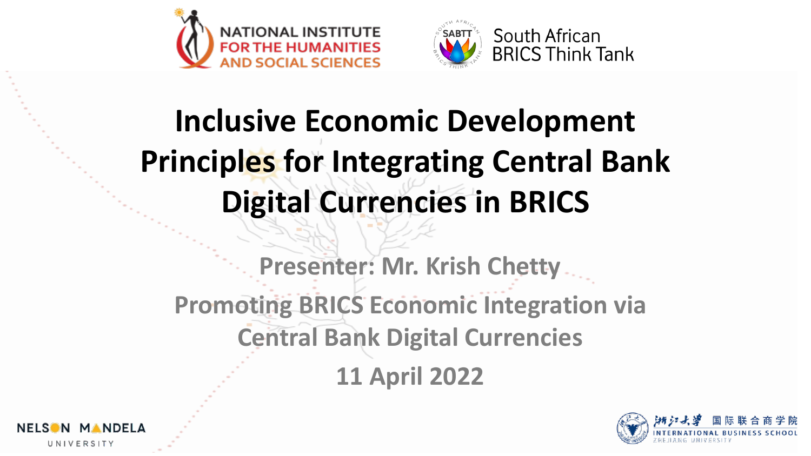



# **Inclusive Economic Development Principles for Integrating Central Bank Digital Currencies in BRICS**

**Presenter: Mr. Krish Chetty Promoting BRICS Economic Integration via Central Bank Digital Currencies 11 April 2022**



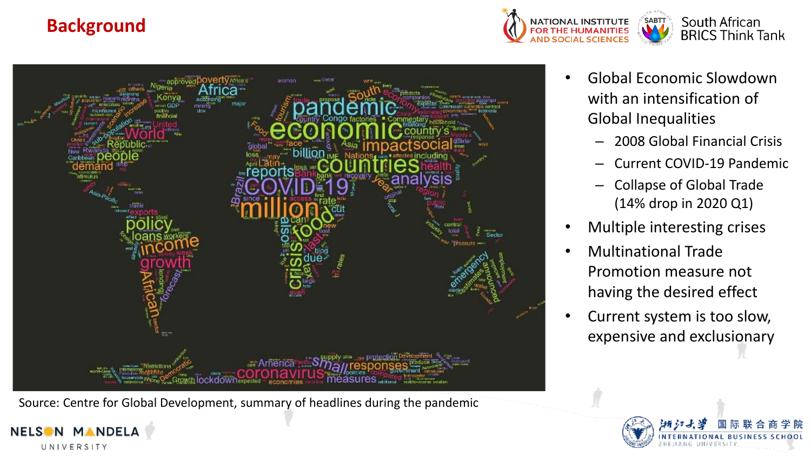## **Background**

**NELSON** 

**MANDELA** 

UNIVERSITY





Source: Centre for Global Development, summary of headlines during the pandemic

- Global Economic Slowdown with an intensification of Global Inequalities
	- 2008 Global Financial Crisis
	- Current COVID-19 Pandemic
	- Collapse of Global Trade (14% drop in 2020 Q1)
- Multiple interesting crises
- Multinational Trade Promotion measure not having the desired effect
- Current system is too slow, expensive and exclusionary

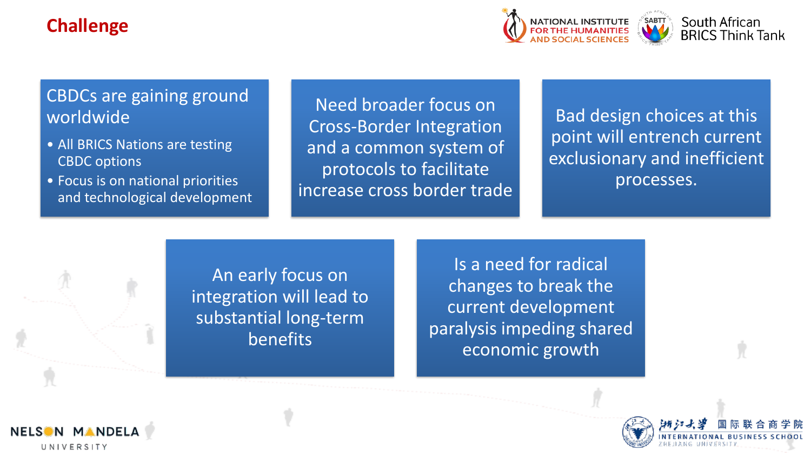## **Challenge**



## CBDCs are gaining ground worldwide

- All BRICS Nations are testing CBDC options
- Focus is on national priorities and technological development

Need broader focus on Cross-Border Integration and a common system of protocols to facilitate increase cross border trade

Bad design choices at this point will entrench current exclusionary and inefficient processes.

An early focus on integration will lead to substantial long-term benefits

Is a need for radical changes to break the current development paralysis impeding shared economic growth



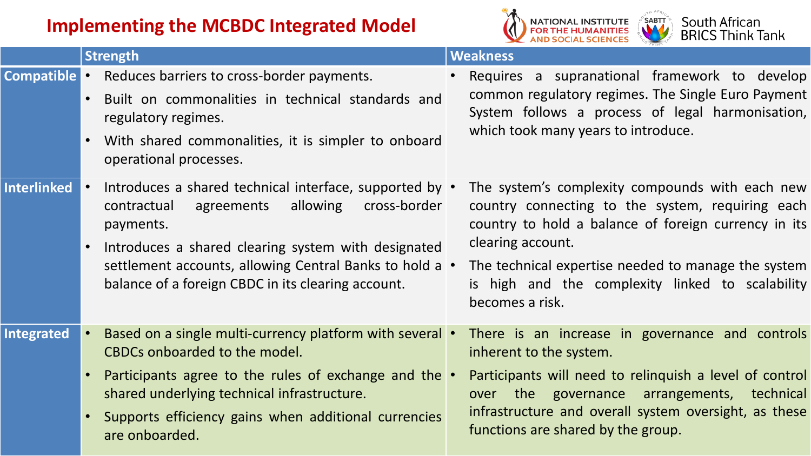## **Implementing the MCBDC Integrated Model**



|                    | <b>Strength</b>                                                                                                                                                                                                                                                                                       | <b>Weakness</b>                                                                                                                                                                                                                                                                                                |  |  |
|--------------------|-------------------------------------------------------------------------------------------------------------------------------------------------------------------------------------------------------------------------------------------------------------------------------------------------------|----------------------------------------------------------------------------------------------------------------------------------------------------------------------------------------------------------------------------------------------------------------------------------------------------------------|--|--|
| <b>Compatible</b>  | Reduces barriers to cross-border payments.<br>Built on commonalities in technical standards and<br>$\bullet$<br>regulatory regimes.<br>With shared commonalities, it is simpler to onboard<br>$\bullet$<br>operational processes.                                                                     | Requires a supranational framework to develop<br>common regulatory regimes. The Single Euro Payment<br>System follows a process of legal harmonisation,<br>which took many years to introduce.                                                                                                                 |  |  |
| <b>Interlinked</b> | Introduces a shared technical interface, supported by •<br>allowing<br>cross-border<br>contractual<br>agreements<br>payments.<br>Introduces a shared clearing system with designated<br>settlement accounts, allowing Central Banks to hold a •<br>balance of a foreign CBDC in its clearing account. | The system's complexity compounds with each new<br>country connecting to the system, requiring each<br>country to hold a balance of foreign currency in its<br>clearing account.<br>The technical expertise needed to manage the system<br>is high and the complexity linked to scalability<br>becomes a risk. |  |  |
| <b>Integrated</b>  | Based on a single multi-currency platform with several •<br>CBDCs onboarded to the model.<br>Participants agree to the rules of exchange and the .<br>shared underlying technical infrastructure.<br>Supports efficiency gains when additional currencies<br>$\bullet$<br>are onboarded.              | There is an increase in governance and controls<br>inherent to the system.<br>Participants will need to relinquish a level of control<br>governance arrangements, technical<br>the<br>over<br>infrastructure and overall system oversight, as these<br>functions are shared by the group.                      |  |  |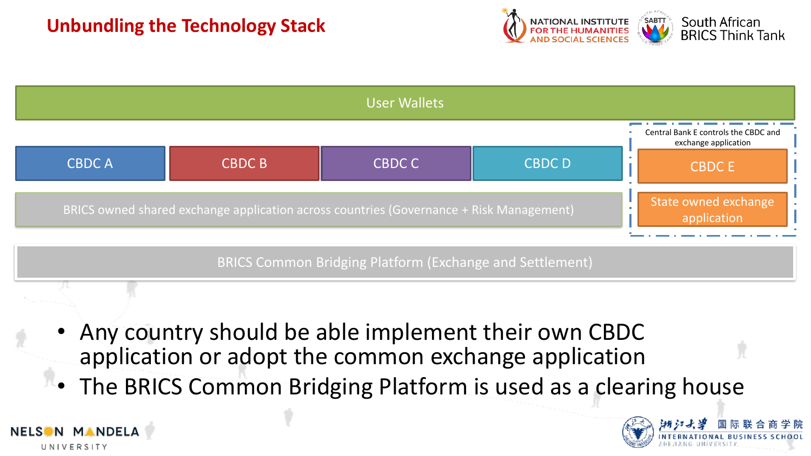

| <b>User Wallets</b> |                                                                                         |        |               |                                                              |  |  |
|---------------------|-----------------------------------------------------------------------------------------|--------|---------------|--------------------------------------------------------------|--|--|
|                     |                                                                                         |        |               | Central Bank E controls the CBDC and<br>exchange application |  |  |
| <b>CBDCA</b>        | <b>CBDC B</b>                                                                           | CBDC C | <b>CBDC D</b> | <b>CBDCE</b>                                                 |  |  |
|                     | BRICS owned shared exchange application across countries (Governance + Risk Management) |        |               |                                                              |  |  |

BRICS Common Bridging Platform (Exchange and Settlement)

- Any country should be able implement their own CBDC application or adopt the common exchange application
- The BRICS Common Bridging Platform is used as a clearing house



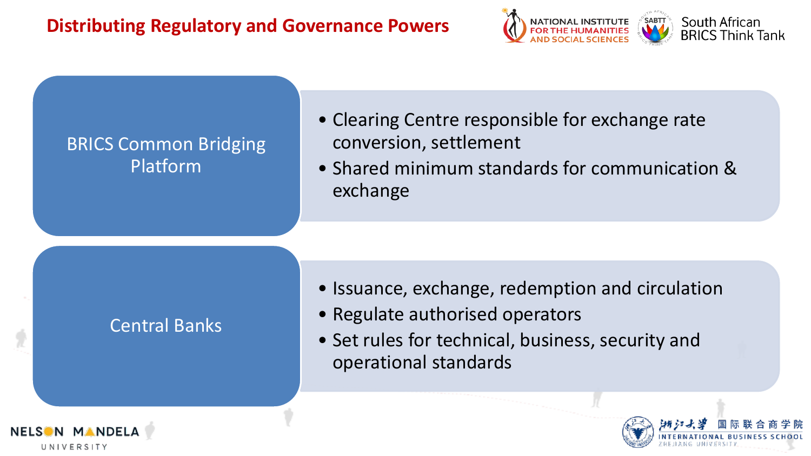## **Distributing Regulatory and Governance Powers**



## BRICS Common Bridging Platform

- Clearing Centre responsible for exchange rate conversion, settlement
- Shared minimum standards for communication & exchange

## Central Banks

- Issuance, exchange, redemption and circulation
- Regulate authorised operators
- Set rules for technical, business, security and operational standards



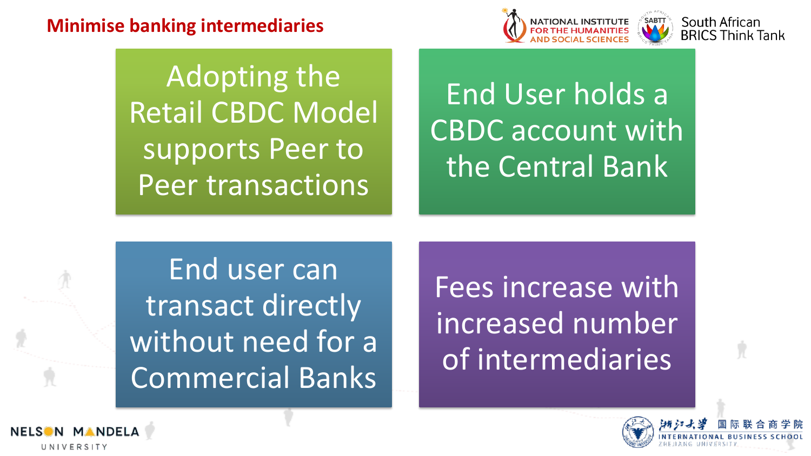## **Minimise banking intermediaries**



Adopting the Retail CBDC Model supports Peer to Peer transactions

## End User holds a CBDC account with the Central Bank

End user can transact directly without need for a Commercial Banks

Fees increase with increased number of intermediaries



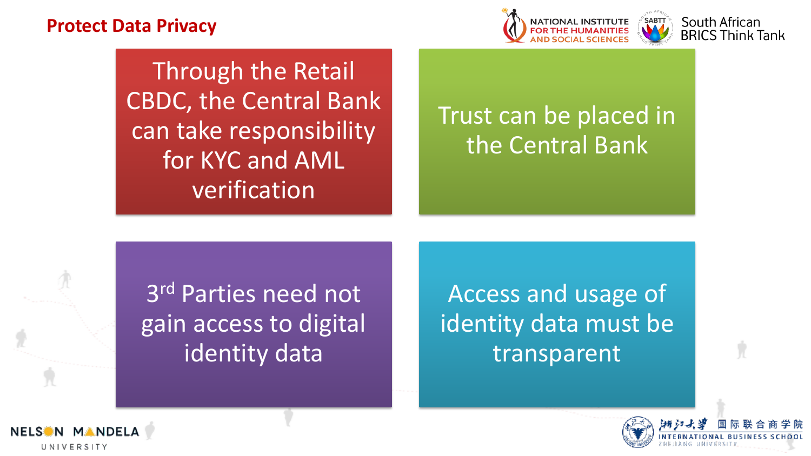### **Protect Data Privacy**



South African

**BRICS Think Tank** 



## Trust can be placed in the Central Bank

3 rd Parties need not gain access to digital identity data

Access and usage of identity data must be transparent



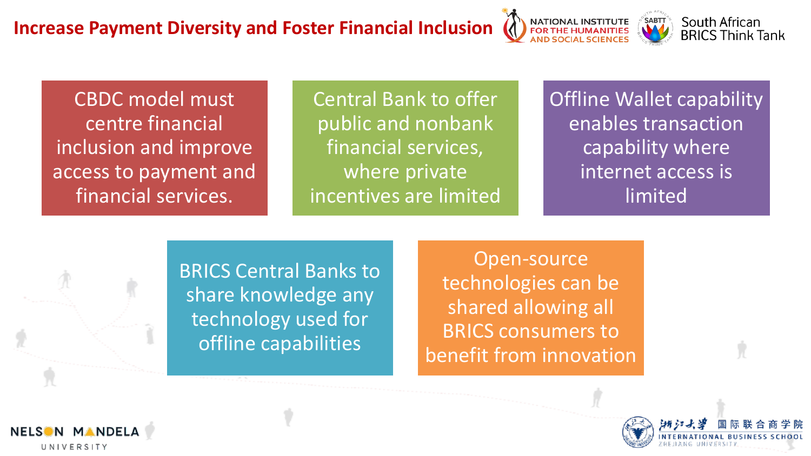



CBDC model must centre financial inclusion and improve access to payment and financial services.

Central Bank to offer public and nonbank financial services, where private incentives are limited **Offline Wallet capability** enables transaction capability where internet access is limited

BRICS Central Banks to share knowledge any technology used for offline capabilities

Open-source technologies can be shared allowing all BRICS consumers to benefit from innovation



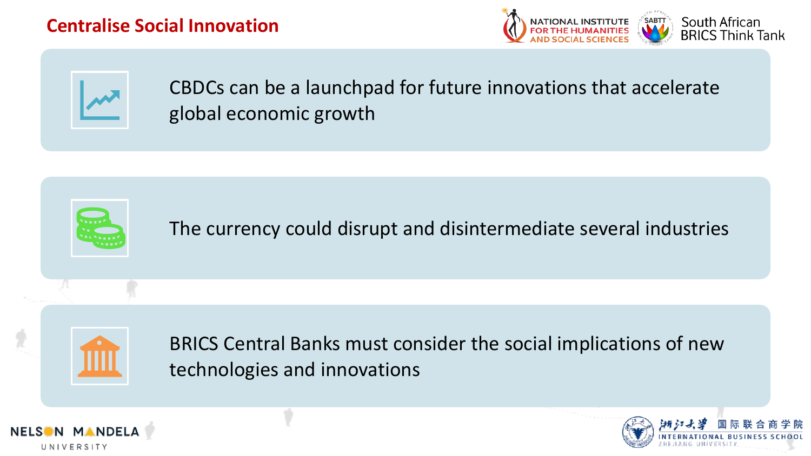### **Centralise Social Innovation**





CBDCs can be a launchpad for future innovations that accelerate global economic growth

The currency could disrupt and disintermediate several industries



BRICS Central Banks must consider the social implications of new technologies and innovations